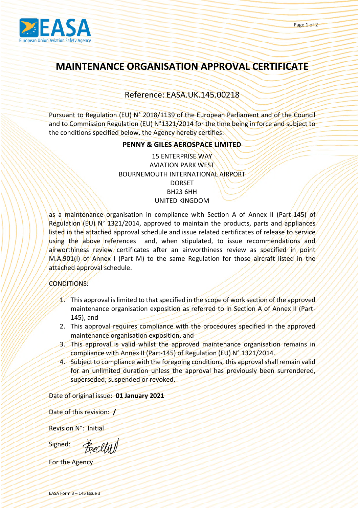

## **MAINTENANCE ORGANISATION APPROVAL CERTIFICATE**

## Reference: EASA.UK.145.00218

Pursuant to Regulation (EU) N° 2018/1139 of the European Parliament and of the Council and to Commission Regulation (EU) N°1321/2014 for the time being in force and subject to the conditions specified below, the Agency hereby certifies:

## **PENNY & GILES AEROSPACE LIMITED**

15 ENTERPRISE WAY AVIATION PARK WEST BOURNEMOUTH INTERNATIONAL AIRPORT DORSET BH23 6HH UNITED KINGDOM

as a maintenance organisation in compliance with Section A of Annex II (Part-145) of Regulation  $(EU)$  N° 1321/2014, approved to maintain the products, parts and appliances listed in the attached approval schedule and issue related certificates of release to service using the above references and, when stipulated, to issue recommendations and airworthiness review certificates after an airworthiness review as specified in point M.A.901(I) of Annex I (Part M) to the same Regulation for those aircraft listed in the attached approval schedule.

CONDITIONS:

- 1. This approval is limited to that specified in the scope of work section of the approved maintenance organisation exposition as referred to in Section A of Annex II (Part-145), and
- 2. This approval requires compliance with the procedures specified in the approved maintenance organisation exposition, and
- 3. This approval is valid whilst the approved maintenance organisation remains in compliance with Annex II (Part-145) of Regulation (EU) N° 1321/2014.
- 4. Subject to compliance with the foregoing conditions, this approval shall remain valid for an unlimited duration unless the approval has previously been surrendered, superseded, suspended or revoked.

Date of original issue: **01 January 2021**

Date of this revision: **/**

Revision N°: Initial

Becliff Signed:

For the Agency